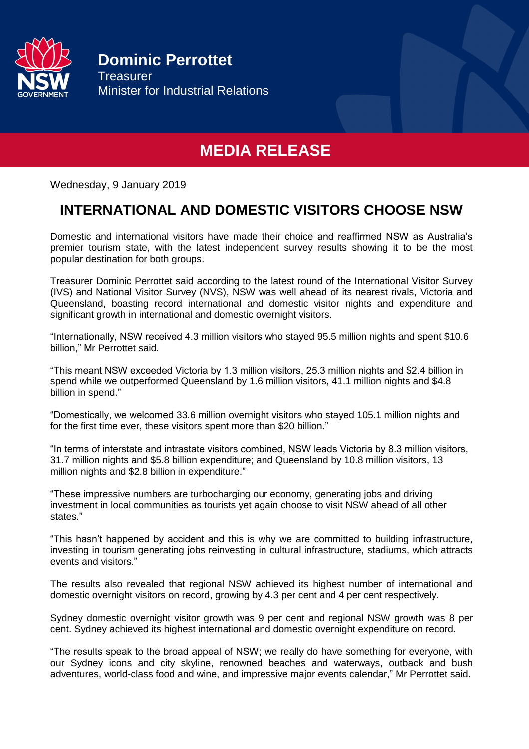

**Dominic Perrottet Treasurer** Minister for Industrial Relations

# **MEDIA RELEASE**

Wednesday, 9 January 2019

## **INTERNATIONAL AND DOMESTIC VISITORS CHOOSE NSW**

Domestic and international visitors have made their choice and reaffirmed NSW as Australia's premier tourism state, with the latest independent survey results showing it to be the most popular destination for both groups.

Treasurer Dominic Perrottet said according to the latest round of the International Visitor Survey (IVS) and National Visitor Survey (NVS), NSW was well ahead of its nearest rivals, Victoria and Queensland, boasting record international and domestic visitor nights and expenditure and significant growth in international and domestic overnight visitors.

"Internationally, NSW received 4.3 million visitors who stayed 95.5 million nights and spent \$10.6 billion," Mr Perrottet said.

"This meant NSW exceeded Victoria by 1.3 million visitors, 25.3 million nights and \$2.4 billion in spend while we outperformed Queensland by 1.6 million visitors, 41.1 million nights and \$4.8 billion in spend."

"Domestically, we welcomed 33.6 million overnight visitors who stayed 105.1 million nights and for the first time ever, these visitors spent more than \$20 billion."

"In terms of interstate and intrastate visitors combined, NSW leads Victoria by 8.3 million visitors, 31.7 million nights and \$5.8 billion expenditure; and Queensland by 10.8 million visitors, 13 million nights and \$2.8 billion in expenditure."

"These impressive numbers are turbocharging our economy, generating jobs and driving investment in local communities as tourists yet again choose to visit NSW ahead of all other states."

"This hasn't happened by accident and this is why we are committed to building infrastructure, investing in tourism generating jobs reinvesting in cultural infrastructure, stadiums, which attracts events and visitors."

The results also revealed that regional NSW achieved its highest number of international and domestic overnight visitors on record, growing by 4.3 per cent and 4 per cent respectively.

Sydney domestic overnight visitor growth was 9 per cent and regional NSW growth was 8 per cent. Sydney achieved its highest international and domestic overnight expenditure on record.

"The results speak to the broad appeal of NSW; we really do have something for everyone, with our Sydney icons and city skyline, renowned beaches and waterways, outback and bush adventures, world-class food and wine, and impressive major events calendar," Mr Perrottet said.